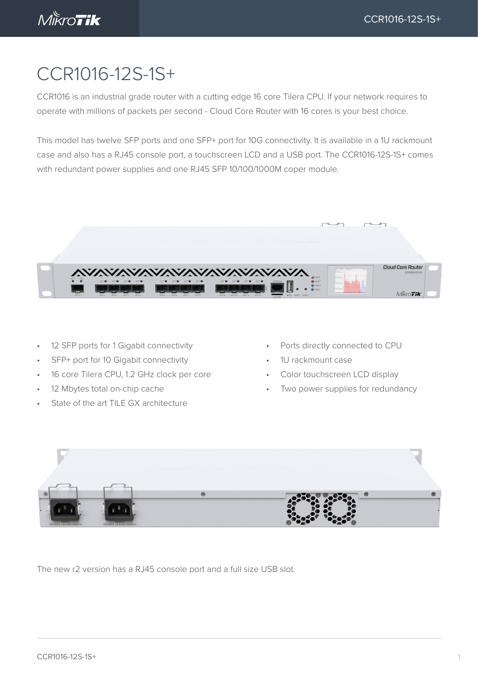

## CCR1016-12S-1S+

CCR1016 is an industrial grade router with a cutting edge 16 core Tilera CPU. If your network requires to operate with millions of packets per second - Cloud Core Router with 16 cores is your best choice.

This model has twelve SFP ports and one SFP+ port for 10G connectivity. It is available in a 1U rackmount case and also has a RJ45 console port, a touchscreen LCD and a USB port. The CCR1016-12S-1S+ comes with redundant power supplies and one RJ45 SFP 10/100/1000M coper module.



- 12 SFP ports for 1 Gigabit connectivity
- SFP+ port for 10 Gigabit connectivity
- 16 core Tilera CPU, 1.2 GHz clock per core
- 12 Mbytes total on-chip cache
- State of the art TILE GX architecture
- Ports directly connected to CPU
- 1U rackmount case
- Color touchscreen LCD display
- Two power supplies for redundancy



The new r2 version has a RJ45 console port and a full size USB slot.